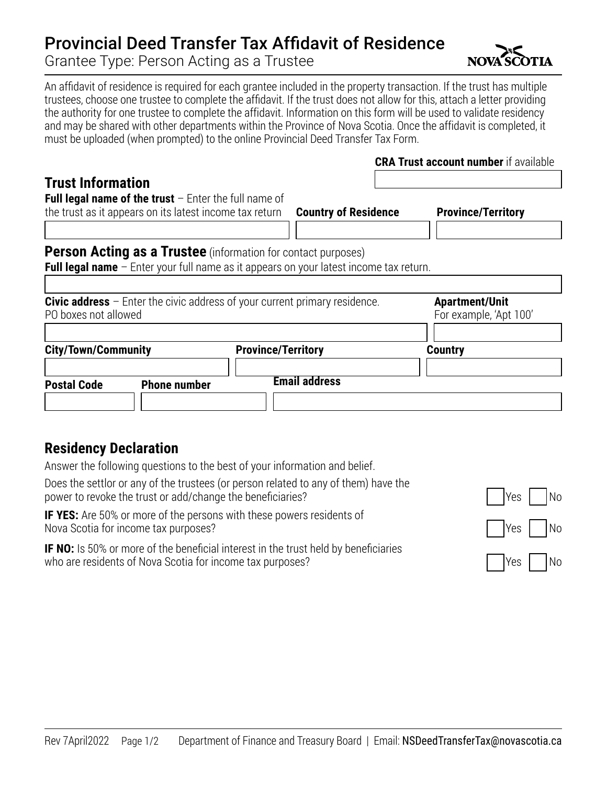## Provincial Deed Transfer Tax Affidavit of Residence

Grantee Type: Person Acting as a Trustee

An affidavit of residence is required for each grantee included in the property transaction. If the trust has multiple trustees, choose one trustee to complete the affidavit. If the trust does not allow for this, attach a letter providing the authority for one trustee to complete the affidavit. Information on this form will be used to validate residency and may be shared with other departments within the Province of Nova Scotia. Once the affidavit is completed, it must be uploaded (when prompted) to the online Provincial Deed Transfer Tax Form.

## **Trust Information**

|  | <b>CRA Trust account number</b> if available |
|--|----------------------------------------------|
|--|----------------------------------------------|

| <b>Full legal name of the trust</b> $-$ Enter the full name of |                                                                                                 |                           |
|----------------------------------------------------------------|-------------------------------------------------------------------------------------------------|---------------------------|
| the trust as it appears on its latest income tax return        | <b>Country of Residence</b>                                                                     | <b>Province/Territory</b> |
|                                                                |                                                                                                 |                           |
|                                                                | <b>Person Acting as a Trustee</b> (information for contact purposes)                            |                           |
|                                                                | <b>Full legal name</b> $-$ Enter your full name as it appears on your latest income tax return. |                           |
|                                                                |                                                                                                 |                           |
|                                                                | <b>Civic address</b> $-$ Enter the civic address of your current primary residence.             | <b>Apartment/Unit</b>     |
| PO boxes not allowed                                           |                                                                                                 | For example, 'Apt 100'    |
|                                                                |                                                                                                 |                           |
| <b>City/Town/Community</b>                                     | <b>Province/Territory</b>                                                                       | <b>Country</b>            |
|                                                                |                                                                                                 |                           |
|                                                                | <b>Email address</b>                                                                            |                           |
| <b>Postal Code</b><br><b>Phone number</b>                      |                                                                                                 |                           |

## **Residency Declaration**

Answer the following questions to the best of your information and belief.

Does the settlor or any of the trustees (or person related to any of them) have the power to revoke the trust or add/change the beneficiaries?

**IF YES:** Are 50% or more of the persons with these powers residents of Nova Scotia for income tax purposes?

**IF NO:** Is 50% or more of the beneficial interest in the trust held by beneficiaries who are residents of Nova Scotia for income tax purposes?

| Yes | No             |
|-----|----------------|
| Yes | N <sub>o</sub> |
| Yes | No             |